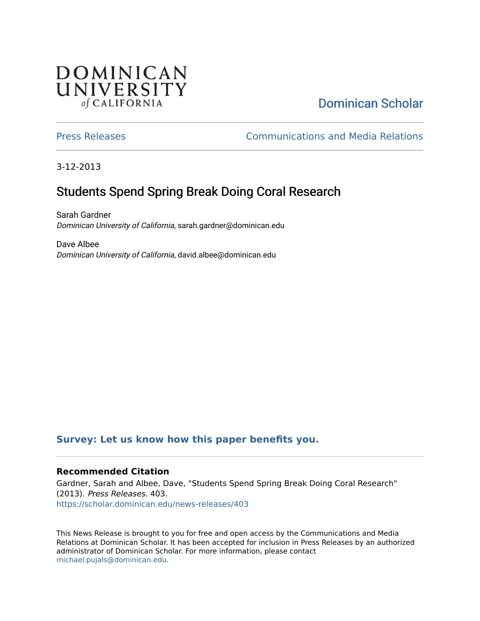## DOMINICAN UNIVERSITY of CALIFORNIA

# [Dominican Scholar](https://scholar.dominican.edu/)

[Press Releases](https://scholar.dominican.edu/news-releases) [Communications and Media Relations](https://scholar.dominican.edu/communications-media) 

3-12-2013

# Students Spend Spring Break Doing Coral Research

Sarah Gardner Dominican University of California, sarah.gardner@dominican.edu

Dave Albee Dominican University of California, david.albee@dominican.edu

#### **[Survey: Let us know how this paper benefits you.](https://dominican.libwizard.com/dominican-scholar-feedback)**

#### **Recommended Citation**

Gardner, Sarah and Albee, Dave, "Students Spend Spring Break Doing Coral Research" (2013). Press Releases. 403. [https://scholar.dominican.edu/news-releases/403](https://scholar.dominican.edu/news-releases/403?utm_source=scholar.dominican.edu%2Fnews-releases%2F403&utm_medium=PDF&utm_campaign=PDFCoverPages)

This News Release is brought to you for free and open access by the Communications and Media Relations at Dominican Scholar. It has been accepted for inclusion in Press Releases by an authorized administrator of Dominican Scholar. For more information, please contact [michael.pujals@dominican.edu.](mailto:michael.pujals@dominican.edu)